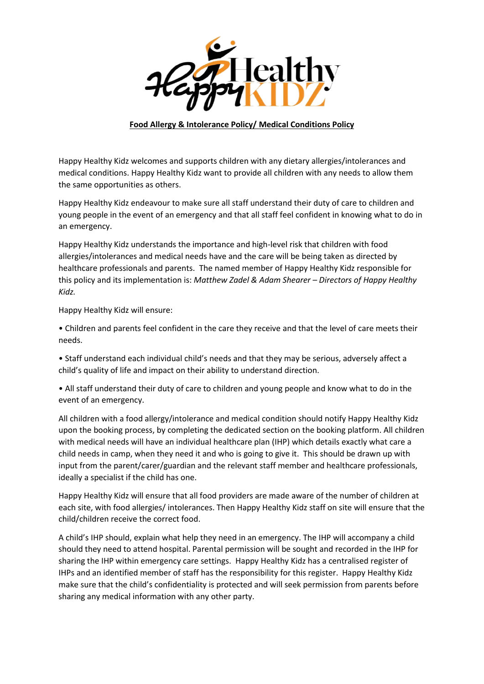

## **Food Allergy & Intolerance Policy/ Medical Conditions Policy**

Happy Healthy Kidz welcomes and supports children with any dietary allergies/intolerances and medical conditions. Happy Healthy Kidz want to provide all children with any needs to allow them the same opportunities as others.

Happy Healthy Kidz endeavour to make sure all staff understand their duty of care to children and young people in the event of an emergency and that all staff feel confident in knowing what to do in an emergency.

Happy Healthy Kidz understands the importance and high-level risk that children with food allergies/intolerances and medical needs have and the care will be being taken as directed by healthcare professionals and parents. The named member of Happy Healthy Kidz responsible for this policy and its implementation is: *Matthew Zadel & Adam Shearer – Directors of Happy Healthy Kidz.*

Happy Healthy Kidz will ensure:

• Children and parents feel confident in the care they receive and that the level of care meets their needs.

• Staff understand each individual child's needs and that they may be serious, adversely affect a child's quality of life and impact on their ability to understand direction.

• All staff understand their duty of care to children and young people and know what to do in the event of an emergency.

All children with a food allergy/intolerance and medical condition should notify Happy Healthy Kidz upon the booking process, by completing the dedicated section on the booking platform. All children with medical needs will have an individual healthcare plan (IHP) which details exactly what care a child needs in camp, when they need it and who is going to give it. This should be drawn up with input from the parent/carer/guardian and the relevant staff member and healthcare professionals, ideally a specialist if the child has one.

Happy Healthy Kidz will ensure that all food providers are made aware of the number of children at each site, with food allergies/ intolerances. Then Happy Healthy Kidz staff on site will ensure that the child/children receive the correct food.

A child's IHP should, explain what help they need in an emergency. The IHP will accompany a child should they need to attend hospital. Parental permission will be sought and recorded in the IHP for sharing the IHP within emergency care settings. Happy Healthy Kidz has a centralised register of IHPs and an identified member of staff has the responsibility for this register. Happy Healthy Kidz make sure that the child's confidentiality is protected and will seek permission from parents before sharing any medical information with any other party.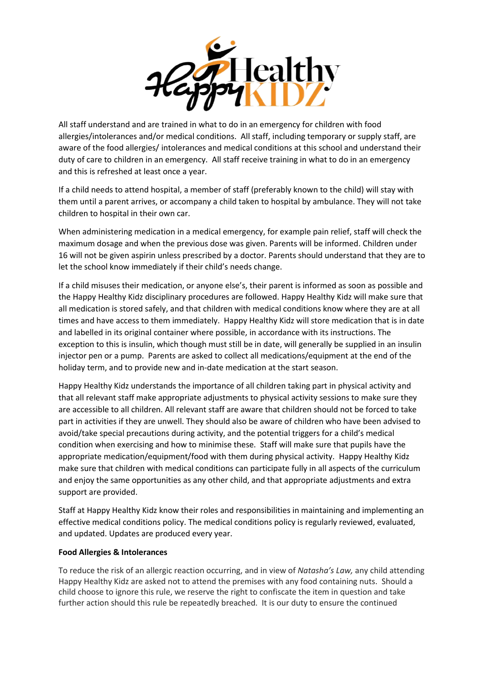

All staff understand and are trained in what to do in an emergency for children with food allergies/intolerances and/or medical conditions. All staff, including temporary or supply staff, are aware of the food allergies/ intolerances and medical conditions at this school and understand their duty of care to children in an emergency. All staff receive training in what to do in an emergency and this is refreshed at least once a year.

If a child needs to attend hospital, a member of staff (preferably known to the child) will stay with them until a parent arrives, or accompany a child taken to hospital by ambulance. They will not take children to hospital in their own car.

When administering medication in a medical emergency, for example pain relief, staff will check the maximum dosage and when the previous dose was given. Parents will be informed. Children under 16 will not be given aspirin unless prescribed by a doctor. Parents should understand that they are to let the school know immediately if their child's needs change.

If a child misuses their medication, or anyone else's, their parent is informed as soon as possible and the Happy Healthy Kidz disciplinary procedures are followed. Happy Healthy Kidz will make sure that all medication is stored safely, and that children with medical conditions know where they are at all times and have access to them immediately. Happy Healthy Kidz will store medication that is in date and labelled in its original container where possible, in accordance with its instructions. The exception to this is insulin, which though must still be in date, will generally be supplied in an insulin injector pen or a pump. Parents are asked to collect all medications/equipment at the end of the holiday term, and to provide new and in-date medication at the start season.

Happy Healthy Kidz understands the importance of all children taking part in physical activity and that all relevant staff make appropriate adjustments to physical activity sessions to make sure they are accessible to all children. All relevant staff are aware that children should not be forced to take part in activities if they are unwell. They should also be aware of children who have been advised to avoid/take special precautions during activity, and the potential triggers for a child's medical condition when exercising and how to minimise these. Staff will make sure that pupils have the appropriate medication/equipment/food with them during physical activity. Happy Healthy Kidz make sure that children with medical conditions can participate fully in all aspects of the curriculum and enjoy the same opportunities as any other child, and that appropriate adjustments and extra support are provided.

Staff at Happy Healthy Kidz know their roles and responsibilities in maintaining and implementing an effective medical conditions policy. The medical conditions policy is regularly reviewed, evaluated, and updated. Updates are produced every year.

## **Food Allergies & Intolerances**

To reduce the risk of an allergic reaction occurring, and in view of *Natasha's Law,* any child attending Happy Healthy Kidz are asked not to attend the premises with any food containing nuts. Should a child choose to ignore this rule, we reserve the right to confiscate the item in question and take further action should this rule be repeatedly breached. It is our duty to ensure the continued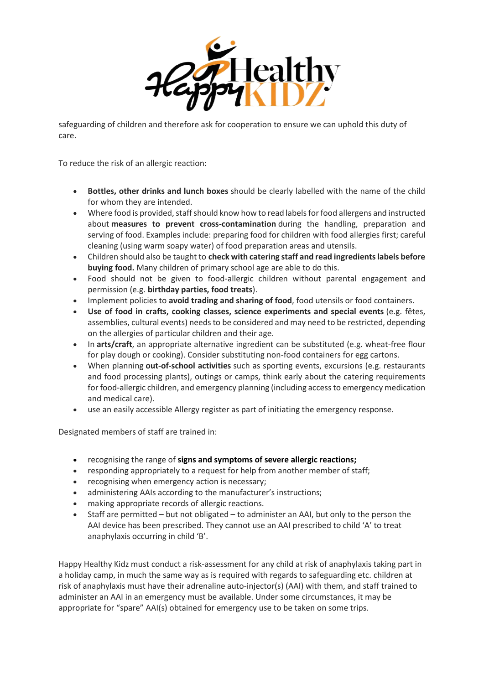

safeguarding of children and therefore ask for cooperation to ensure we can uphold this duty of care.

To reduce the risk of an allergic reaction:

- **Bottles, other drinks and lunch boxes** should be clearly labelled with the name of the child for whom they are intended.
- Where food is provided, staff should know how to read labels for food allergens and instructed about **measures to prevent cross-contamination** during the handling, preparation and serving of food. Examples include: preparing food for children with food allergies first; careful cleaning (using warm soapy water) of food preparation areas and utensils.
- Children should also be taught to **check with catering staff and read ingredients labels before buying food.** Many children of primary school age are able to do this.
- Food should not be given to food-allergic children without parental engagement and permission (e.g. **birthday parties, food treats**).
- Implement policies to **avoid trading and sharing of food**, food utensils or food containers.
- **Use of food in crafts, cooking classes, science experiments and special events** (e.g. fêtes, assemblies, cultural events) needs to be considered and may need to be restricted, depending on the allergies of particular children and their age.
- In **arts/craft**, an appropriate alternative ingredient can be substituted (e.g. wheat-free flour for play dough or cooking). Consider substituting non-food containers for egg cartons.
- When planning **out-of-school activities** such as sporting events, excursions (e.g. restaurants and food processing plants), outings or camps, think early about the catering requirements for food-allergic children, and emergency planning (including access to emergency medication and medical care).
- use an easily accessible Allergy register as part of initiating the emergency response.

Designated members of staff are trained in:

- recognising the range of **[signs and symptoms of severe allergic reactions;](https://www.sparepensinschools.uk/e-training/how-to-spot-an-allergic-reaction/)**
- responding appropriately to a request for help from another member of staff;
- recognising when emergency action is necessary;
- administering AAIs according to the manufacturer's instructions;
- making appropriate records of allergic reactions.
- Staff are permitted but not obligated to administer an AAI, but only to the person the AAI device has been prescribed. They cannot use an AAI prescribed to child 'A' to treat anaphylaxis occurring in child 'B'.

Happy Healthy Kidz must conduct a risk-assessment for any child at risk of anaphylaxis taking part in a holiday camp, in much the same way as is required with regards to safeguarding etc. children at risk of anaphylaxis must have their adrenaline auto-injector(s) (AAI) with them, and staff trained to administer an AAI in an emergency must be available. Under some circumstances, it may be appropriate for "spare" AAI(s) obtained for emergency use to be taken on some trips.